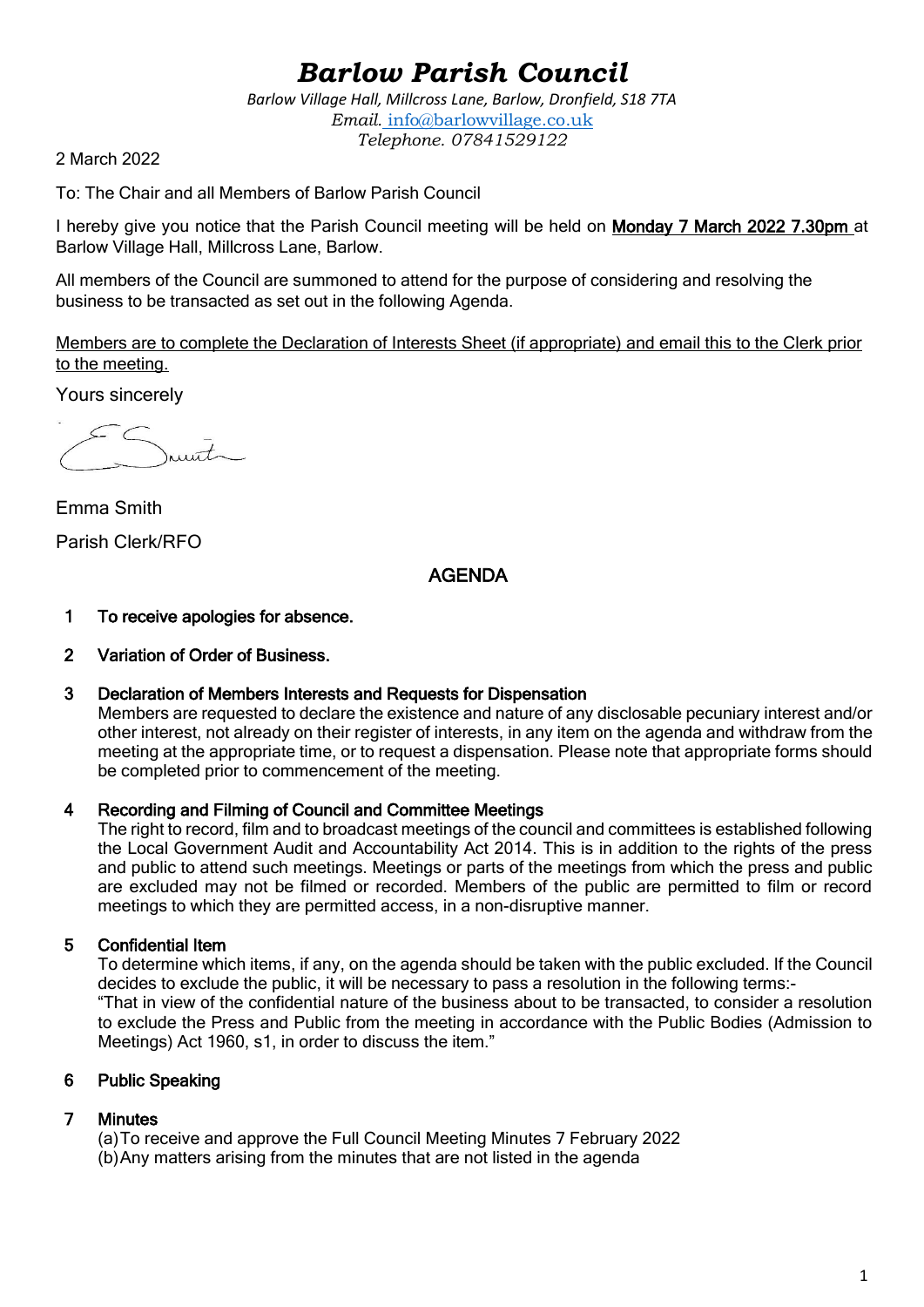# *Barlow Parish Council*

*Barlow Village Hall, Millcross Lane, Barlow, Dronfield, S18 7TA Email.* info@barlowvillage.co.uk *Telephone. 07841529122*

2 March 2022

To: The Chair and all Members of Barlow Parish Council

I hereby give you notice that the Parish Council meeting will be held on Monday 7 March 2022 7.30pm at Barlow Village Hall, Millcross Lane, Barlow.

All members of the Council are summoned to attend for the purpose of considering and resolving the business to be transacted as set out in the following Agenda.

Members are to complete the Declaration of Interests Sheet (if appropriate) and email this to the Clerk prior to the meeting.

Yours sincerely

 $urt$ 

Emma Smith Parish Clerk/RFO

## AGENDA

## 1 To receive apologies for absence.

## 2 Variation of Order of Business.

## 3 Declaration of Members Interests and Requests for Dispensation

Members are requested to declare the existence and nature of any disclosable pecuniary interest and/or other interest, not already on their register of interests, in any item on the agenda and withdraw from the meeting at the appropriate time, or to request a dispensation. Please note that appropriate forms should be completed prior to commencement of the meeting.

## 4 Recording and Filming of Council and Committee Meetings

The right to record, film and to broadcast meetings of the council and committees is established following the Local Government Audit and Accountability Act 2014. This is in addition to the rights of the press and public to attend such meetings. Meetings or parts of the meetings from which the press and public are excluded may not be filmed or recorded. Members of the public are permitted to film or record meetings to which they are permitted access, in a non-disruptive manner.

## 5 Confidential Item

To determine which items, if any, on the agenda should be taken with the public excluded. If the Council decides to exclude the public, it will be necessary to pass a resolution in the following terms:- "That in view of the confidential nature of the business about to be transacted, to consider a resolution to exclude the Press and Public from the meeting in accordance with the Public Bodies (Admission to Meetings) Act 1960, s1, in order to discuss the item."

## 6 Public Speaking

## 7 Minutes

(a)To receive and approve the Full Council Meeting Minutes 7 February 2022 (b)Any matters arising from the minutes that are not listed in the agenda